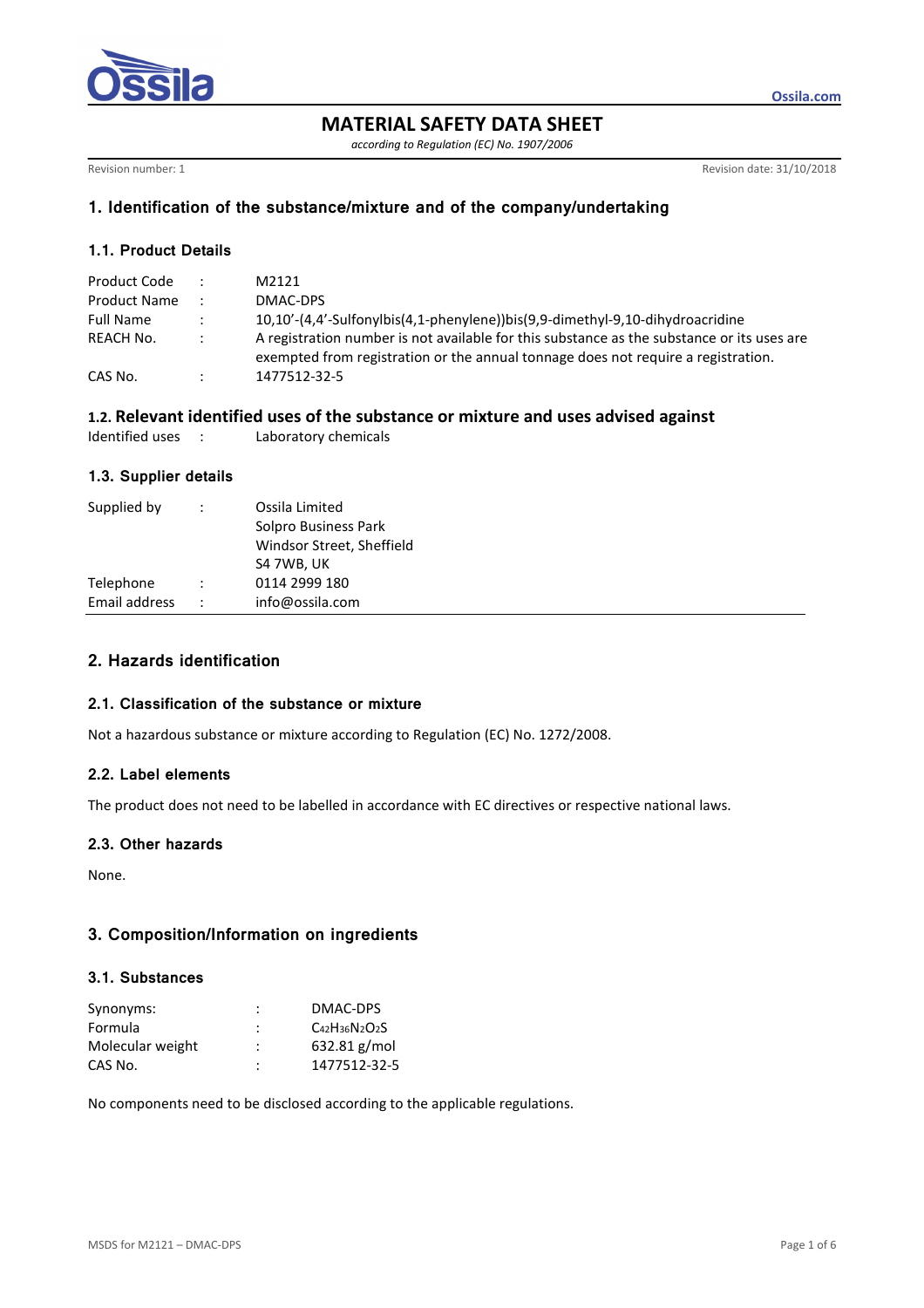

**MATERIAL SAFETY DATA SHEET** 

*according to Regulation (EC) No. 1907/2006* 

Revision number: 1 Revision date: 31/10/2018

**Ossila.com**

## **1. Identification of the substance/mixture and of the company/undertaking**

## **1.1. Product Details**

| Product Code        |               | M2121                                                                                                                                                                           |
|---------------------|---------------|---------------------------------------------------------------------------------------------------------------------------------------------------------------------------------|
| <b>Product Name</b> |               | DMAC-DPS                                                                                                                                                                        |
| <b>Full Name</b>    | $\mathcal{L}$ | 10,10'-(4,4'-Sulfonylbis(4,1-phenylene))bis(9,9-dimethyl-9,10-dihydroacridine                                                                                                   |
| REACH No.           | $\mathcal{L}$ | A registration number is not available for this substance as the substance or its uses are<br>exempted from registration or the annual tonnage does not require a registration. |
| CAS No.             |               | 1477512-32-5                                                                                                                                                                    |

## **1.2. Relevant identified uses of the substance or mixture and uses advised against**

| Identified uses |  | Laboratory chemicals |  |
|-----------------|--|----------------------|--|
|-----------------|--|----------------------|--|

### **1.3. Supplier details**

| Supplied by   | ÷ | Ossila Limited<br>Solpro Business Park<br>Windsor Street, Sheffield<br>S4 7WB, UK |
|---------------|---|-----------------------------------------------------------------------------------|
| Telephone     |   | 0114 2999 180                                                                     |
| Email address |   | info@ossila.com                                                                   |

# **2. Hazards identification**

### **2.1. Classification of the substance or mixture**

Not a hazardous substance or mixture according to Regulation (EC) No. 1272/2008.

## **2.2. Label elements**

The product does not need to be labelled in accordance with EC directives or respective national laws.

## **2.3. Other hazards**

None.

# **3. Composition/Information on ingredients**

#### **3.1. Substances**

| Synonyms:        | :              | DMAC-DPS                  |
|------------------|----------------|---------------------------|
| Formula          | :              | $C_{42}H_{36}N_{2}O_{2}S$ |
| Molecular weight | :              | $632.81$ g/mol            |
| CAS No.          | $\ddot{\cdot}$ | 1477512-32-5              |

No components need to be disclosed according to the applicable regulations.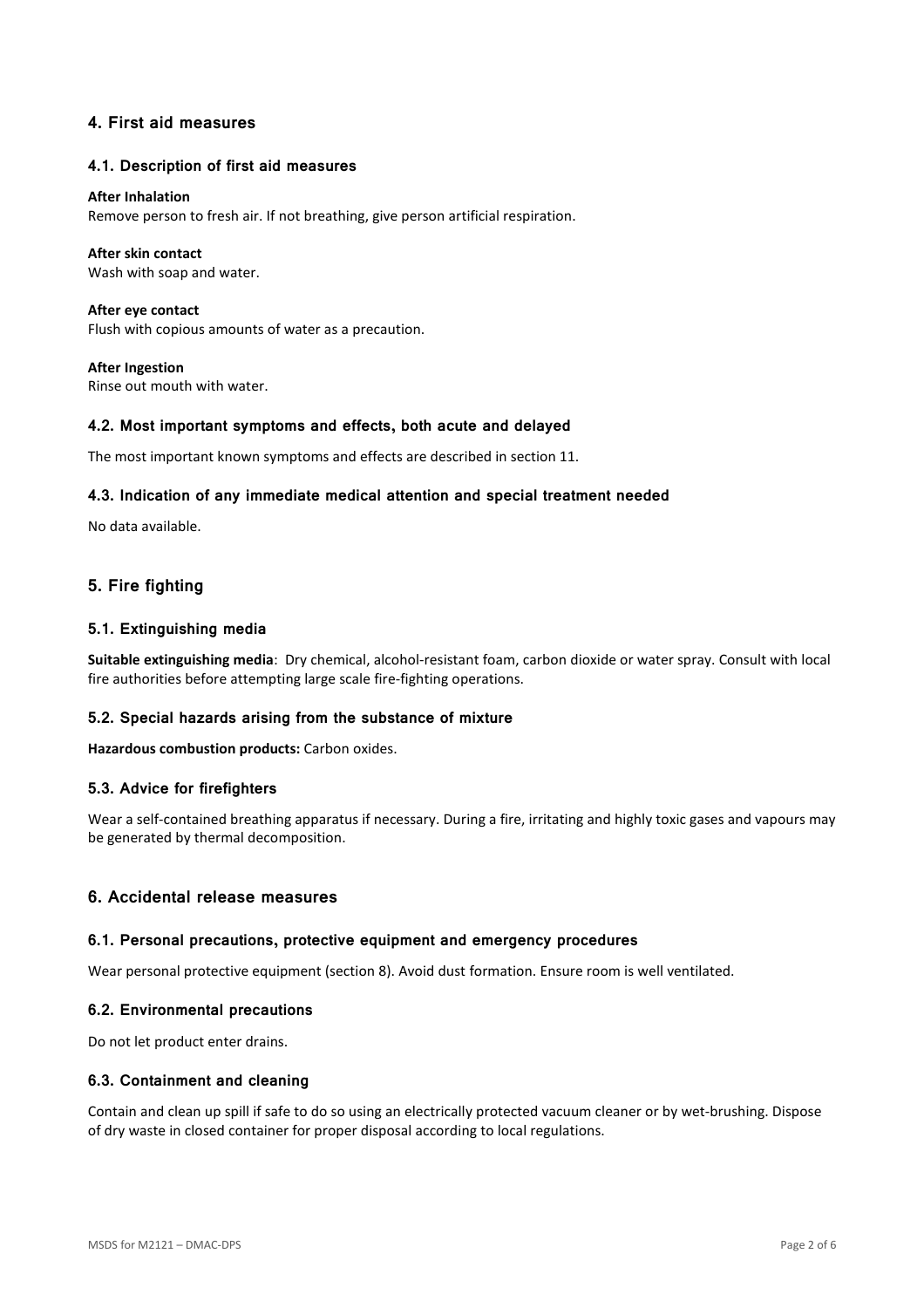## **4. First aid measures**

#### **4.1. Description of first aid measures**

#### **After Inhalation**

Remove person to fresh air. If not breathing, give person artificial respiration.

#### **After skin contact**

Wash with soap and water.

**After eye contact**  Flush with copious amounts of water as a precaution.

**After Ingestion**  Rinse out mouth with water.

#### **4.2. Most important symptoms and effects, both acute and delayed**

The most important known symptoms and effects are described in section 11.

#### **4.3. Indication of any immediate medical attention and special treatment needed**

No data available.

# **5. Fire fighting**

#### **5.1. Extinguishing media**

**Suitable extinguishing media**: Dry chemical, alcohol-resistant foam, carbon dioxide or water spray. Consult with local fire authorities before attempting large scale fire-fighting operations.

### **5.2. Special hazards arising from the substance of mixture**

**Hazardous combustion products:** Carbon oxides.

#### **5.3. Advice for firefighters**

Wear a self-contained breathing apparatus if necessary. During a fire, irritating and highly toxic gases and vapours may be generated by thermal decomposition.

## **6. Accidental release measures**

#### **6.1. Personal precautions, protective equipment and emergency procedures**

Wear personal protective equipment (section 8). Avoid dust formation. Ensure room is well ventilated.

#### **6.2. Environmental precautions**

Do not let product enter drains.

#### **6.3. Containment and cleaning**

Contain and clean up spill if safe to do so using an electrically protected vacuum cleaner or by wet-brushing. Dispose of dry waste in closed container for proper disposal according to local regulations.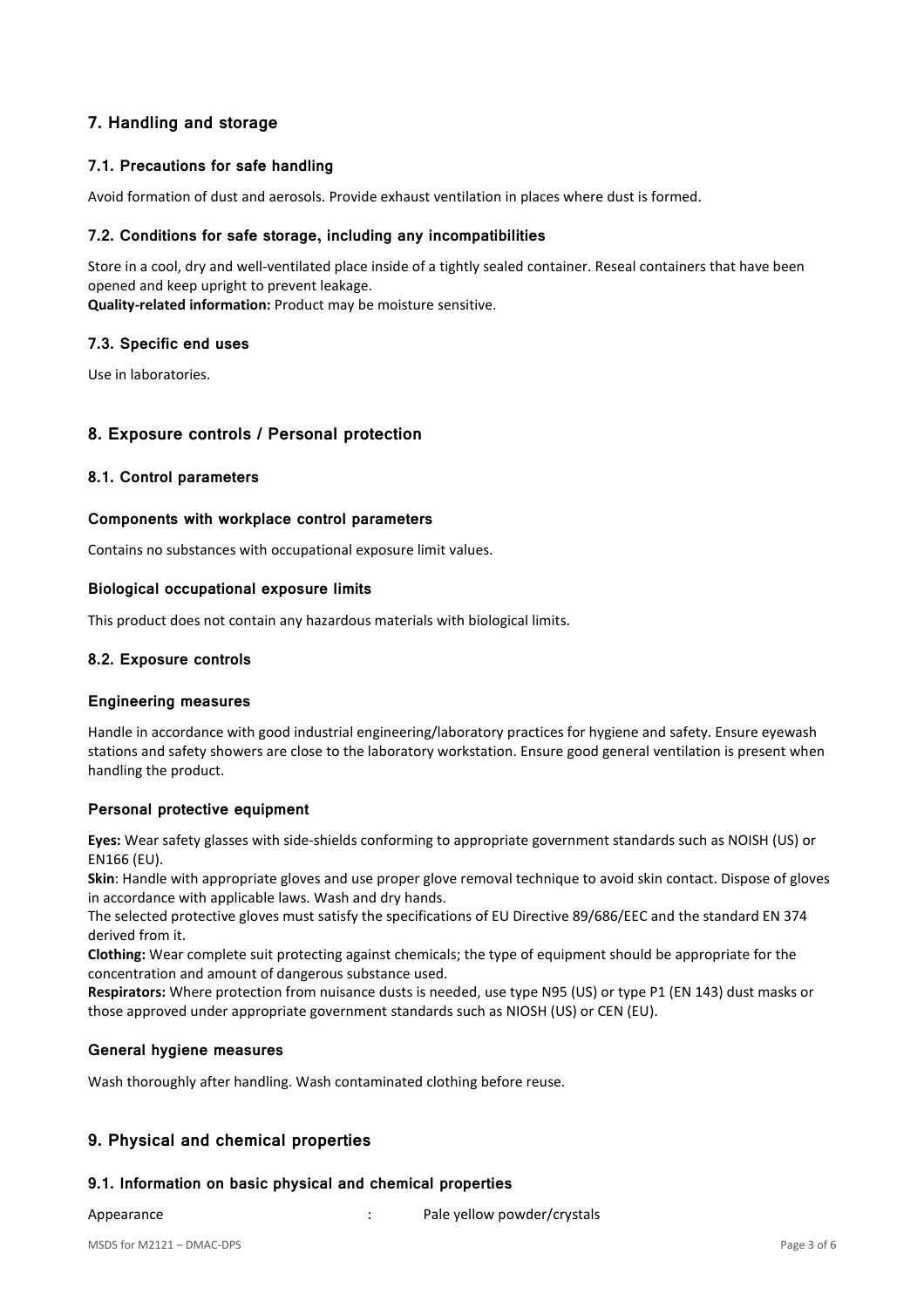# **7. Handling and storage**

## **7.1. Precautions for safe handling**

Avoid formation of dust and aerosols. Provide exhaust ventilation in places where dust is formed.

#### **7.2. Conditions for safe storage, including any incompatibilities**

Store in a cool, dry and well-ventilated place inside of a tightly sealed container. Reseal containers that have been opened and keep upright to prevent leakage.

**Quality-related information:** Product may be moisture sensitive.

#### **7.3. Specific end uses**

Use in laboratories.

### **8. Exposure controls / Personal protection**

### **8.1. Control parameters**

#### **Components with workplace control parameters**

Contains no substances with occupational exposure limit values.

#### **Biological occupational exposure limits**

This product does not contain any hazardous materials with biological limits.

### **8.2. Exposure controls**

#### **Engineering measures**

Handle in accordance with good industrial engineering/laboratory practices for hygiene and safety. Ensure eyewash stations and safety showers are close to the laboratory workstation. Ensure good general ventilation is present when handling the product.

### **Personal protective equipment**

**Eyes:** Wear safety glasses with side-shields conforming to appropriate government standards such as NOISH (US) or EN166 (EU).

**Skin**: Handle with appropriate gloves and use proper glove removal technique to avoid skin contact. Dispose of gloves in accordance with applicable laws. Wash and dry hands.

The selected protective gloves must satisfy the specifications of EU Directive 89/686/EEC and the standard EN 374 derived from it.

**Clothing:** Wear complete suit protecting against chemicals; the type of equipment should be appropriate for the concentration and amount of dangerous substance used.

**Respirators:** Where protection from nuisance dusts is needed, use type N95 (US) or type P1 (EN 143) dust masks or those approved under appropriate government standards such as NIOSH (US) or CEN (EU).

### **General hygiene measures**

Wash thoroughly after handling. Wash contaminated clothing before reuse.

# **9. Physical and chemical properties**

### **9.1. Information on basic physical and chemical properties**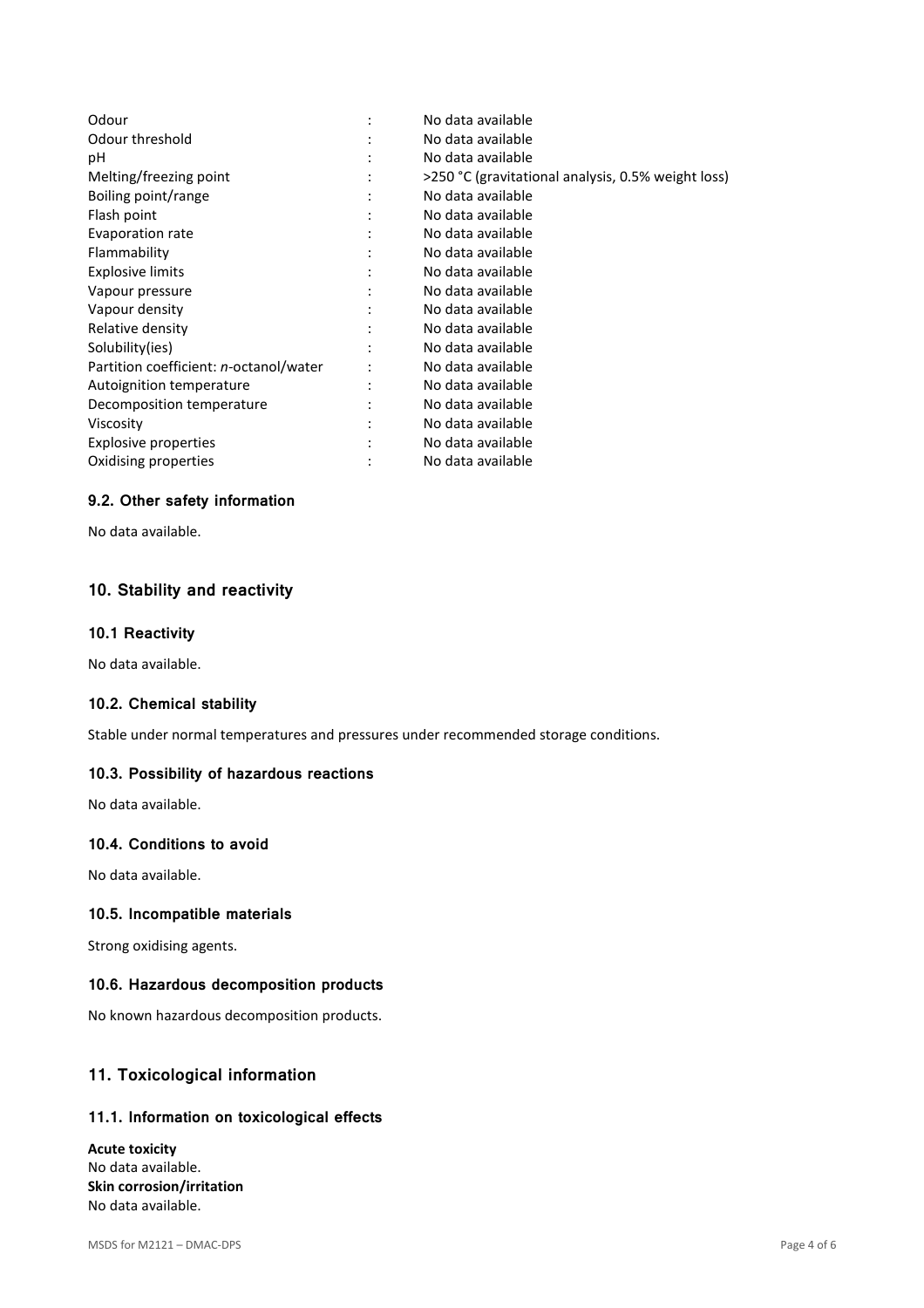| Odour                                          | No data available                                  |
|------------------------------------------------|----------------------------------------------------|
| Odour threshold                                | No data available                                  |
| рH                                             | No data available                                  |
| Melting/freezing point                         | >250 °C (gravitational analysis, 0.5% weight loss) |
| Boiling point/range                            | No data available                                  |
| Flash point                                    | No data available                                  |
| Evaporation rate                               | No data available                                  |
| Flammability                                   | No data available                                  |
| <b>Explosive limits</b>                        | No data available                                  |
| Vapour pressure                                | No data available                                  |
| Vapour density                                 | No data available                                  |
| Relative density                               | No data available                                  |
| Solubility(ies)                                | No data available                                  |
| Partition coefficient: <i>n</i> -octanol/water | No data available                                  |
| Autoignition temperature                       | No data available                                  |
| Decomposition temperature                      | No data available                                  |
| Viscosity                                      | No data available                                  |
| Explosive properties                           | No data available                                  |
| Oxidising properties                           | No data available                                  |

## **9.2. Other safety information**

No data available.

# **10. Stability and reactivity**

#### **10.1 Reactivity**

No data available.

# **10.2. Chemical stability**

Stable under normal temperatures and pressures under recommended storage conditions.

### **10.3. Possibility of hazardous reactions**

No data available.

# **10.4. Conditions to avoid**

No data available.

### **10.5. Incompatible materials**

Strong oxidising agents.

### **10.6. Hazardous decomposition products**

No known hazardous decomposition products.

# **11. Toxicological information**

## **11.1. Information on toxicological effects**

**Acute toxicity**  No data available. **Skin corrosion/irritation**  No data available.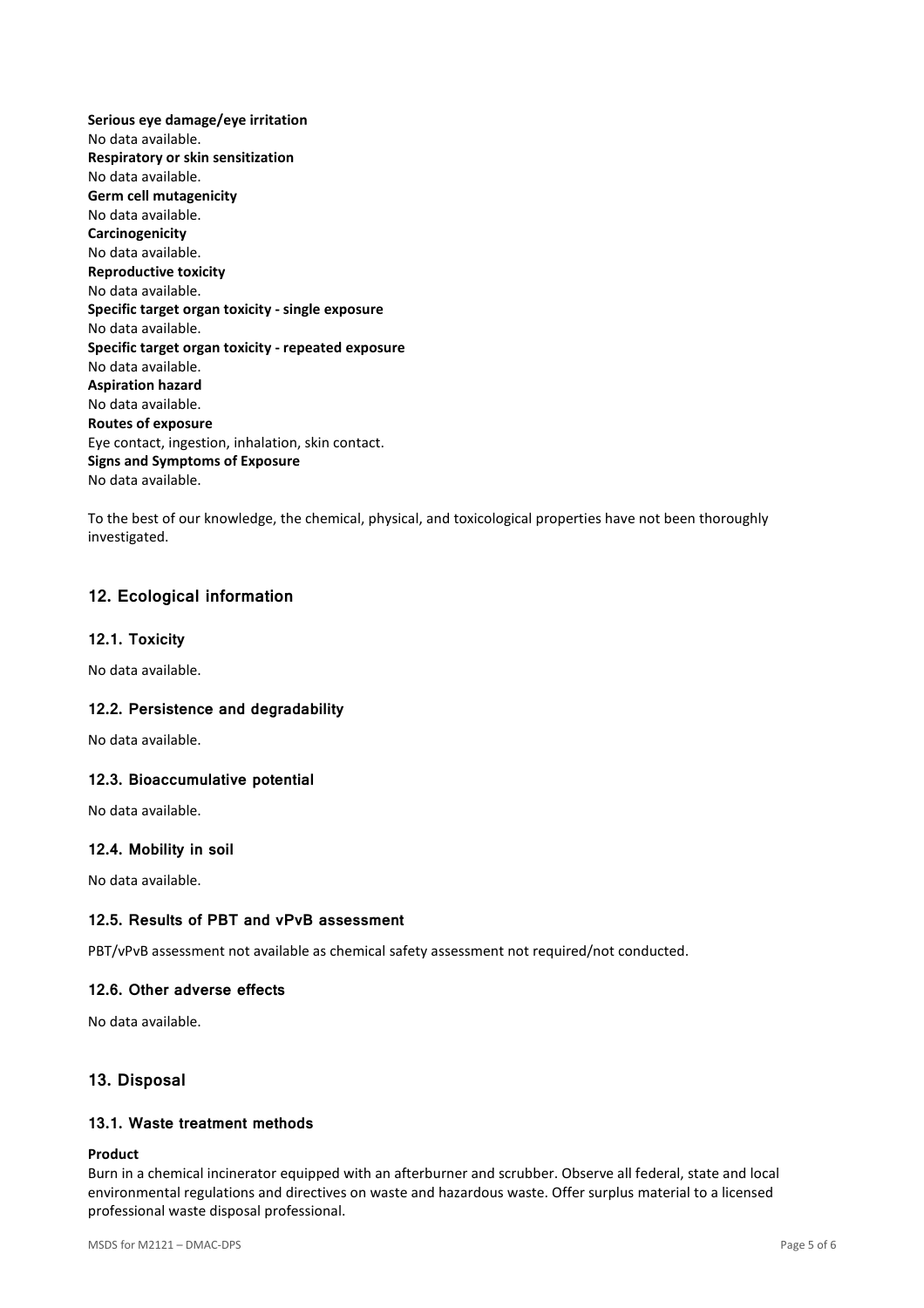**Serious eye damage/eye irritation**  No data available. **Respiratory or skin sensitization**  No data available. **Germ cell mutagenicity**  No data available. **Carcinogenicity**  No data available. **Reproductive toxicity**  No data available. **Specific target organ toxicity - single exposure**  No data available. **Specific target organ toxicity - repeated exposure**  No data available. **Aspiration hazard**  No data available. **Routes of exposure**  Eye contact, ingestion, inhalation, skin contact. **Signs and Symptoms of Exposure**  No data available.

To the best of our knowledge, the chemical, physical, and toxicological properties have not been thoroughly investigated.

# **12. Ecological information**

### **12.1. Toxicity**

No data available.

### **12.2. Persistence and degradability**

No data available.

### **12.3. Bioaccumulative potential**

No data available.

### **12.4. Mobility in soil**

No data available.

### **12.5. Results of PBT and vPvB assessment**

PBT/vPvB assessment not available as chemical safety assessment not required/not conducted.

### **12.6. Other adverse effects**

No data available.

# **13. Disposal**

## **13.1. Waste treatment methods**

#### **Product**

Burn in a chemical incinerator equipped with an afterburner and scrubber. Observe all federal, state and local environmental regulations and directives on waste and hazardous waste. Offer surplus material to a licensed professional waste disposal professional.